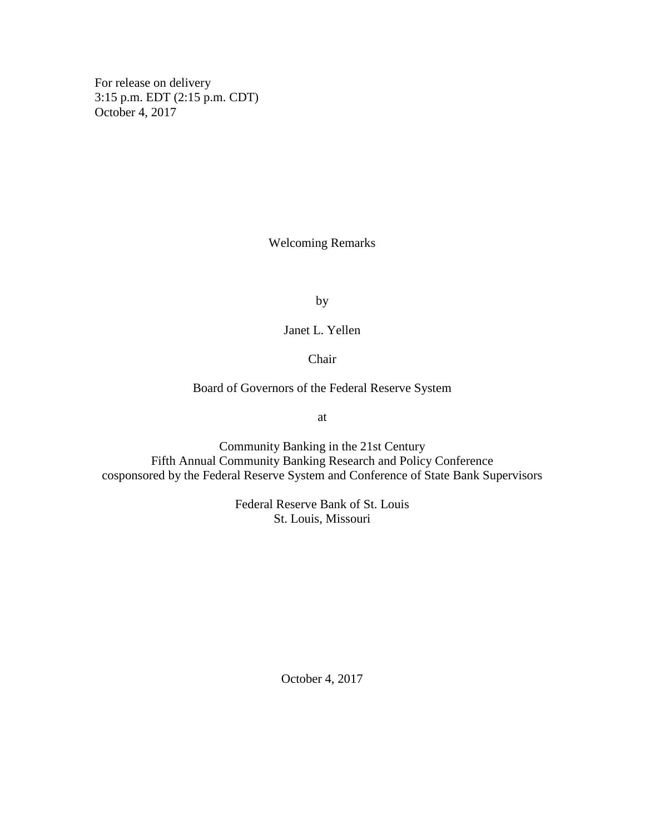For release on delivery 3:15 p.m. EDT (2:15 p.m. CDT) October 4, 2017

Welcoming Remarks

by

Janet L. Yellen

Chair

Board of Governors of the Federal Reserve System

at

Community Banking in the 21st Century Fifth Annual Community Banking Research and Policy Conference cosponsored by the Federal Reserve System and Conference of State Bank Supervisors

> Federal Reserve Bank of St. Louis St. Louis, Missouri

> > October 4, 2017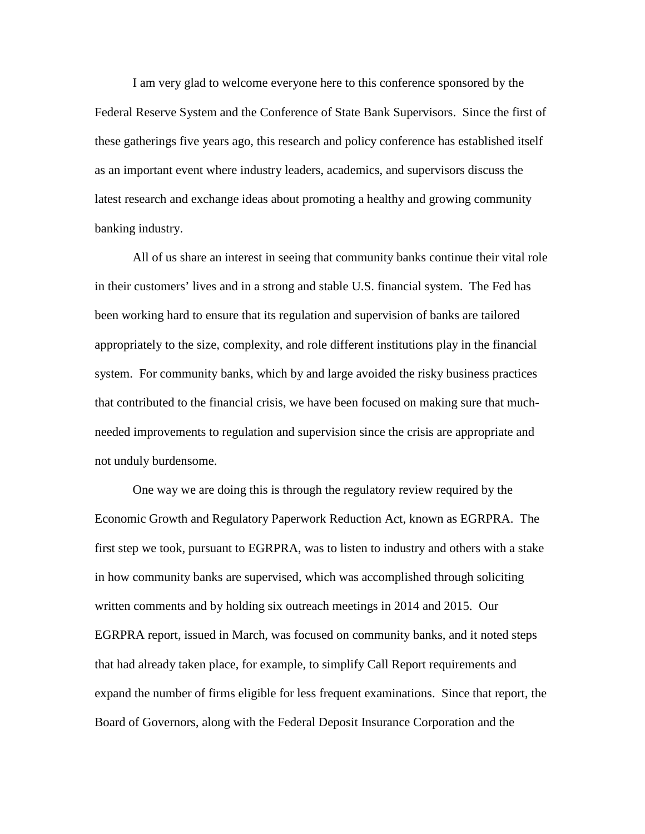I am very glad to welcome everyone here to this conference sponsored by the Federal Reserve System and the Conference of State Bank Supervisors. Since the first of these gatherings five years ago, this research and policy conference has established itself as an important event where industry leaders, academics, and supervisors discuss the latest research and exchange ideas about promoting a healthy and growing community banking industry.

All of us share an interest in seeing that community banks continue their vital role in their customers' lives and in a strong and stable U.S. financial system. The Fed has been working hard to ensure that its regulation and supervision of banks are tailored appropriately to the size, complexity, and role different institutions play in the financial system. For community banks, which by and large avoided the risky business practices that contributed to the financial crisis, we have been focused on making sure that muchneeded improvements to regulation and supervision since the crisis are appropriate and not unduly burdensome.

One way we are doing this is through the regulatory review required by the Economic Growth and Regulatory Paperwork Reduction Act, known as EGRPRA. The first step we took, pursuant to EGRPRA, was to listen to industry and others with a stake in how community banks are supervised, which was accomplished through soliciting written comments and by holding six outreach meetings in 2014 and 2015. Our EGRPRA report, issued in March, was focused on community banks, and it noted steps that had already taken place, for example, to simplify Call Report requirements and expand the number of firms eligible for less frequent examinations. Since that report, the Board of Governors, along with the Federal Deposit Insurance Corporation and the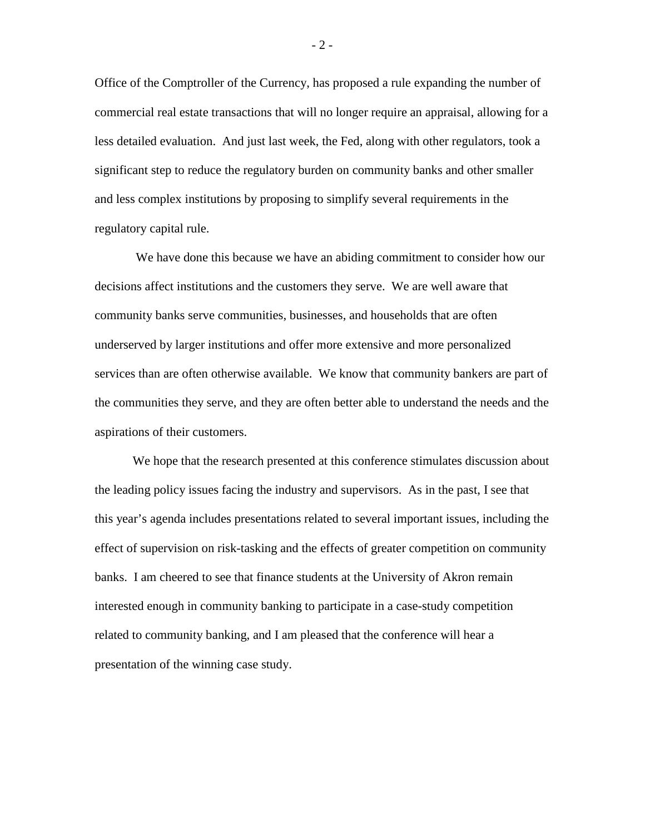Office of the Comptroller of the Currency, has proposed a rule expanding the number of commercial real estate transactions that will no longer require an appraisal, allowing for a less detailed evaluation. And just last week, the Fed, along with other regulators, took a significant step to reduce the regulatory burden on community banks and other smaller and less complex institutions by proposing to simplify several requirements in the regulatory capital rule.

We have done this because we have an abiding commitment to consider how our decisions affect institutions and the customers they serve. We are well aware that community banks serve communities, businesses, and households that are often underserved by larger institutions and offer more extensive and more personalized services than are often otherwise available. We know that community bankers are part of the communities they serve, and they are often better able to understand the needs and the aspirations of their customers.

We hope that the research presented at this conference stimulates discussion about the leading policy issues facing the industry and supervisors. As in the past, I see that this year's agenda includes presentations related to several important issues, including the effect of supervision on risk-tasking and the effects of greater competition on community banks. I am cheered to see that finance students at the University of Akron remain interested enough in community banking to participate in a case-study competition related to community banking, and I am pleased that the conference will hear a presentation of the winning case study.

 $-2-$